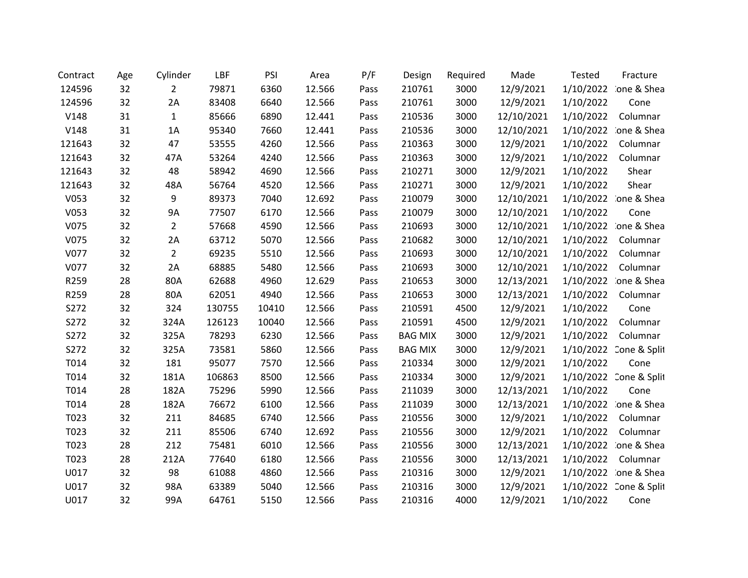| Contract | Age | Cylinder       | LBF    | PSI   | Area   | P/F  | Design         | Required | Made       | Tested    | Fracture               |
|----------|-----|----------------|--------|-------|--------|------|----------------|----------|------------|-----------|------------------------|
| 124596   | 32  | 2              | 79871  | 6360  | 12.566 | Pass | 210761         | 3000     | 12/9/2021  |           | 1/10/2022 one & Shea   |
| 124596   | 32  | 2A             | 83408  | 6640  | 12.566 | Pass | 210761         | 3000     | 12/9/2021  | 1/10/2022 | Cone                   |
| V148     | 31  | $\mathbf{1}$   | 85666  | 6890  | 12.441 | Pass | 210536         | 3000     | 12/10/2021 | 1/10/2022 | Columnar               |
| V148     | 31  | 1A             | 95340  | 7660  | 12.441 | Pass | 210536         | 3000     | 12/10/2021 | 1/10/2022 | ione & Shea            |
| 121643   | 32  | 47             | 53555  | 4260  | 12.566 | Pass | 210363         | 3000     | 12/9/2021  | 1/10/2022 | Columnar               |
| 121643   | 32  | 47A            | 53264  | 4240  | 12.566 | Pass | 210363         | 3000     | 12/9/2021  | 1/10/2022 | Columnar               |
| 121643   | 32  | 48             | 58942  | 4690  | 12.566 | Pass | 210271         | 3000     | 12/9/2021  | 1/10/2022 | Shear                  |
| 121643   | 32  | 48A            | 56764  | 4520  | 12.566 | Pass | 210271         | 3000     | 12/9/2021  | 1/10/2022 | Shear                  |
| V053     | 32  | 9              | 89373  | 7040  | 12.692 | Pass | 210079         | 3000     | 12/10/2021 |           | 1/10/2022 one & Shea   |
| V053     | 32  | <b>9A</b>      | 77507  | 6170  | 12.566 | Pass | 210079         | 3000     | 12/10/2021 | 1/10/2022 | Cone                   |
| V075     | 32  | $\overline{2}$ | 57668  | 4590  | 12.566 | Pass | 210693         | 3000     | 12/10/2021 |           | 1/10/2022 one & Shea   |
| V075     | 32  | 2A             | 63712  | 5070  | 12.566 | Pass | 210682         | 3000     | 12/10/2021 | 1/10/2022 | Columnar               |
| V077     | 32  | $\overline{2}$ | 69235  | 5510  | 12.566 | Pass | 210693         | 3000     | 12/10/2021 | 1/10/2022 | Columnar               |
| V077     | 32  | 2A             | 68885  | 5480  | 12.566 | Pass | 210693         | 3000     | 12/10/2021 | 1/10/2022 | Columnar               |
| R259     | 28  | 80A            | 62688  | 4960  | 12.629 | Pass | 210653         | 3000     | 12/13/2021 | 1/10/2022 | ione & Shea            |
| R259     | 28  | 80A            | 62051  | 4940  | 12.566 | Pass | 210653         | 3000     | 12/13/2021 | 1/10/2022 | Columnar               |
| S272     | 32  | 324            | 130755 | 10410 | 12.566 | Pass | 210591         | 4500     | 12/9/2021  | 1/10/2022 | Cone                   |
| S272     | 32  | 324A           | 126123 | 10040 | 12.566 | Pass | 210591         | 4500     | 12/9/2021  | 1/10/2022 | Columnar               |
| S272     | 32  | 325A           | 78293  | 6230  | 12.566 | Pass | <b>BAG MIX</b> | 3000     | 12/9/2021  | 1/10/2022 | Columnar               |
| S272     | 32  | 325A           | 73581  | 5860  | 12.566 | Pass | <b>BAG MIX</b> | 3000     | 12/9/2021  | 1/10/2022 | Cone & Split           |
| T014     | 32  | 181            | 95077  | 7570  | 12.566 | Pass | 210334         | 3000     | 12/9/2021  | 1/10/2022 | Cone                   |
| T014     | 32  | 181A           | 106863 | 8500  | 12.566 | Pass | 210334         | 3000     | 12/9/2021  |           | 1/10/2022 Cone & Split |
| T014     | 28  | 182A           | 75296  | 5990  | 12.566 | Pass | 211039         | 3000     | 12/13/2021 | 1/10/2022 | Cone                   |
| T014     | 28  | 182A           | 76672  | 6100  | 12.566 | Pass | 211039         | 3000     | 12/13/2021 |           | 1/10/2022 one & Shea   |
| T023     | 32  | 211            | 84685  | 6740  | 12.566 | Pass | 210556         | 3000     | 12/9/2021  | 1/10/2022 | Columnar               |
| T023     | 32  | 211            | 85506  | 6740  | 12.692 | Pass | 210556         | 3000     | 12/9/2021  | 1/10/2022 | Columnar               |
| T023     | 28  | 212            | 75481  | 6010  | 12.566 | Pass | 210556         | 3000     | 12/13/2021 | 1/10/2022 | ione & Shea            |
| T023     | 28  | 212A           | 77640  | 6180  | 12.566 | Pass | 210556         | 3000     | 12/13/2021 | 1/10/2022 | Columnar               |
| U017     | 32  | 98             | 61088  | 4860  | 12.566 | Pass | 210316         | 3000     | 12/9/2021  | 1/10/2022 | ione & Shea            |
| U017     | 32  | 98A            | 63389  | 5040  | 12.566 | Pass | 210316         | 3000     | 12/9/2021  |           | 1/10/2022 Cone & Split |
| U017     | 32  | 99A            | 64761  | 5150  | 12.566 | Pass | 210316         | 4000     | 12/9/2021  | 1/10/2022 | Cone                   |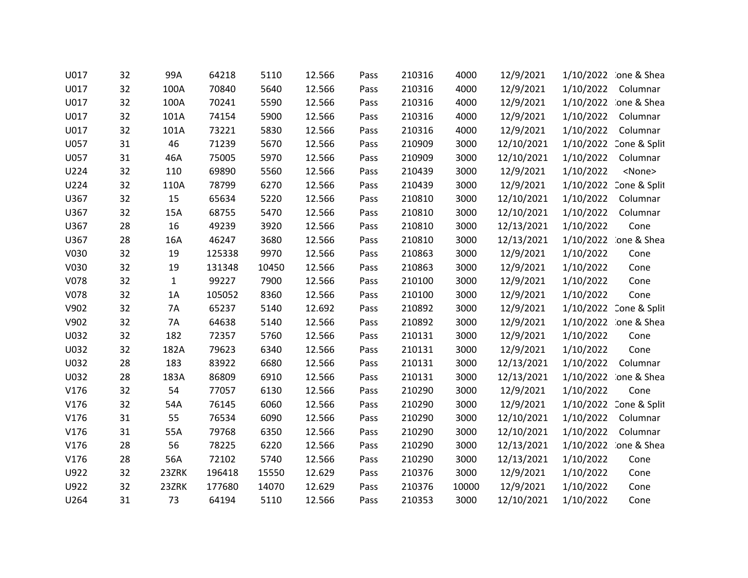| U017 | 32 | 99A          | 64218  | 5110  | 12.566 | Pass | 210316 | 4000  | 12/9/2021  |           | 1/10/2022 one & Shea   |
|------|----|--------------|--------|-------|--------|------|--------|-------|------------|-----------|------------------------|
| U017 | 32 | 100A         | 70840  | 5640  | 12.566 | Pass | 210316 | 4000  | 12/9/2021  | 1/10/2022 | Columnar               |
| U017 | 32 | 100A         | 70241  | 5590  | 12.566 | Pass | 210316 | 4000  | 12/9/2021  |           | 1/10/2022 one & Shea   |
| U017 | 32 | 101A         | 74154  | 5900  | 12.566 | Pass | 210316 | 4000  | 12/9/2021  | 1/10/2022 | Columnar               |
| U017 | 32 | 101A         | 73221  | 5830  | 12.566 | Pass | 210316 | 4000  | 12/9/2021  | 1/10/2022 | Columnar               |
| U057 | 31 | 46           | 71239  | 5670  | 12.566 | Pass | 210909 | 3000  | 12/10/2021 |           | 1/10/2022 Cone & Split |
| U057 | 31 | 46A          | 75005  | 5970  | 12.566 | Pass | 210909 | 3000  | 12/10/2021 | 1/10/2022 | Columnar               |
| U224 | 32 | 110          | 69890  | 5560  | 12.566 | Pass | 210439 | 3000  | 12/9/2021  | 1/10/2022 | <none></none>          |
| U224 | 32 | 110A         | 78799  | 6270  | 12.566 | Pass | 210439 | 3000  | 12/9/2021  |           | 1/10/2022 Cone & Split |
| U367 | 32 | 15           | 65634  | 5220  | 12.566 | Pass | 210810 | 3000  | 12/10/2021 | 1/10/2022 | Columnar               |
| U367 | 32 | 15A          | 68755  | 5470  | 12.566 | Pass | 210810 | 3000  | 12/10/2021 | 1/10/2022 | Columnar               |
| U367 | 28 | 16           | 49239  | 3920  | 12.566 | Pass | 210810 | 3000  | 12/13/2021 | 1/10/2022 | Cone                   |
| U367 | 28 | 16A          | 46247  | 3680  | 12.566 | Pass | 210810 | 3000  | 12/13/2021 |           | 1/10/2022 one & Shea   |
| V030 | 32 | 19           | 125338 | 9970  | 12.566 | Pass | 210863 | 3000  | 12/9/2021  | 1/10/2022 | Cone                   |
| V030 | 32 | 19           | 131348 | 10450 | 12.566 | Pass | 210863 | 3000  | 12/9/2021  | 1/10/2022 | Cone                   |
| V078 | 32 | $\mathbf{1}$ | 99227  | 7900  | 12.566 | Pass | 210100 | 3000  | 12/9/2021  | 1/10/2022 | Cone                   |
| V078 | 32 | 1A           | 105052 | 8360  | 12.566 | Pass | 210100 | 3000  | 12/9/2021  | 1/10/2022 | Cone                   |
| V902 | 32 | 7A           | 65237  | 5140  | 12.692 | Pass | 210892 | 3000  | 12/9/2021  |           | 1/10/2022 Cone & Split |
| V902 | 32 | 7A           | 64638  | 5140  | 12.566 | Pass | 210892 | 3000  | 12/9/2021  |           | 1/10/2022 one & Shea   |
| U032 | 32 | 182          | 72357  | 5760  | 12.566 | Pass | 210131 | 3000  | 12/9/2021  | 1/10/2022 | Cone                   |
| U032 | 32 | 182A         | 79623  | 6340  | 12.566 | Pass | 210131 | 3000  | 12/9/2021  | 1/10/2022 | Cone                   |
| U032 | 28 | 183          | 83922  | 6680  | 12.566 | Pass | 210131 | 3000  | 12/13/2021 | 1/10/2022 | Columnar               |
| U032 | 28 | 183A         | 86809  | 6910  | 12.566 | Pass | 210131 | 3000  | 12/13/2021 |           | 1/10/2022 one & Shea   |
| V176 | 32 | 54           | 77057  | 6130  | 12.566 | Pass | 210290 | 3000  | 12/9/2021  | 1/10/2022 | Cone                   |
| V176 | 32 | 54A          | 76145  | 6060  | 12.566 | Pass | 210290 | 3000  | 12/9/2021  |           | 1/10/2022 Cone & Split |
| V176 | 31 | 55           | 76534  | 6090  | 12.566 | Pass | 210290 | 3000  | 12/10/2021 | 1/10/2022 | Columnar               |
| V176 | 31 | 55A          | 79768  | 6350  | 12.566 | Pass | 210290 | 3000  | 12/10/2021 | 1/10/2022 | Columnar               |
| V176 | 28 | 56           | 78225  | 6220  | 12.566 | Pass | 210290 | 3000  | 12/13/2021 |           | 1/10/2022 one & Shea   |
| V176 | 28 | 56A          | 72102  | 5740  | 12.566 | Pass | 210290 | 3000  | 12/13/2021 | 1/10/2022 | Cone                   |
| U922 | 32 | 23ZRK        | 196418 | 15550 | 12.629 | Pass | 210376 | 3000  | 12/9/2021  | 1/10/2022 | Cone                   |
| U922 | 32 | 23ZRK        | 177680 | 14070 | 12.629 | Pass | 210376 | 10000 | 12/9/2021  | 1/10/2022 | Cone                   |
| U264 | 31 | 73           | 64194  | 5110  | 12.566 | Pass | 210353 | 3000  | 12/10/2021 | 1/10/2022 | Cone                   |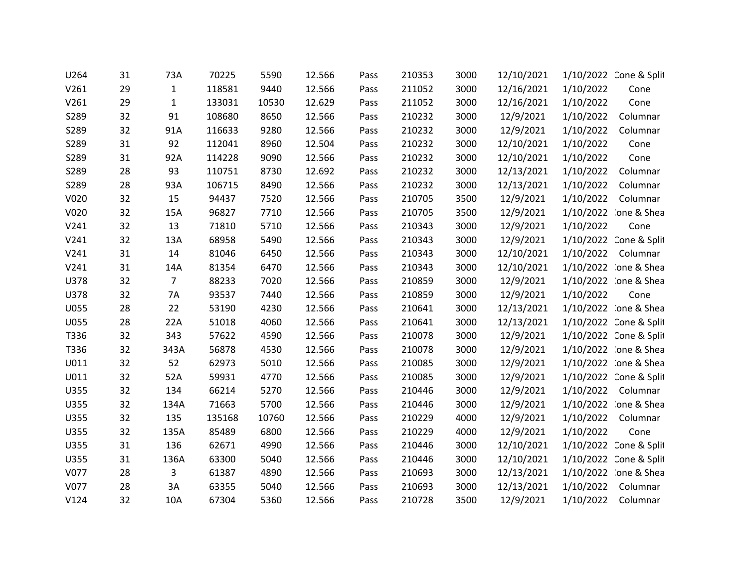| U264 | 31 | 73A            | 70225  | 5590  | 12.566 | Pass | 210353 | 3000 | 12/10/2021 |           | 1/10/2022 Cone & Split |
|------|----|----------------|--------|-------|--------|------|--------|------|------------|-----------|------------------------|
| V261 | 29 | $\mathbf{1}$   | 118581 | 9440  | 12.566 | Pass | 211052 | 3000 | 12/16/2021 | 1/10/2022 | Cone                   |
| V261 | 29 | $\mathbf{1}$   | 133031 | 10530 | 12.629 | Pass | 211052 | 3000 | 12/16/2021 | 1/10/2022 | Cone                   |
| S289 | 32 | 91             | 108680 | 8650  | 12.566 | Pass | 210232 | 3000 | 12/9/2021  | 1/10/2022 | Columnar               |
| S289 | 32 | 91A            | 116633 | 9280  | 12.566 | Pass | 210232 | 3000 | 12/9/2021  | 1/10/2022 | Columnar               |
| S289 | 31 | 92             | 112041 | 8960  | 12.504 | Pass | 210232 | 3000 | 12/10/2021 | 1/10/2022 | Cone                   |
| S289 | 31 | 92A            | 114228 | 9090  | 12.566 | Pass | 210232 | 3000 | 12/10/2021 | 1/10/2022 | Cone                   |
| S289 | 28 | 93             | 110751 | 8730  | 12.692 | Pass | 210232 | 3000 | 12/13/2021 | 1/10/2022 | Columnar               |
| S289 | 28 | 93A            | 106715 | 8490  | 12.566 | Pass | 210232 | 3000 | 12/13/2021 | 1/10/2022 | Columnar               |
| V020 | 32 | 15             | 94437  | 7520  | 12.566 | Pass | 210705 | 3500 | 12/9/2021  | 1/10/2022 | Columnar               |
| V020 | 32 | 15A            | 96827  | 7710  | 12.566 | Pass | 210705 | 3500 | 12/9/2021  |           | 1/10/2022 one & Shea   |
| V241 | 32 | 13             | 71810  | 5710  | 12.566 | Pass | 210343 | 3000 | 12/9/2021  | 1/10/2022 | Cone                   |
| V241 | 32 | 13A            | 68958  | 5490  | 12.566 | Pass | 210343 | 3000 | 12/9/2021  |           | 1/10/2022 Cone & Split |
| V241 | 31 | 14             | 81046  | 6450  | 12.566 | Pass | 210343 | 3000 | 12/10/2021 | 1/10/2022 | Columnar               |
| V241 | 31 | 14A            | 81354  | 6470  | 12.566 | Pass | 210343 | 3000 | 12/10/2021 |           | 1/10/2022 one & Shea   |
| U378 | 32 | $\overline{7}$ | 88233  | 7020  | 12.566 | Pass | 210859 | 3000 | 12/9/2021  |           | 1/10/2022 one & Shea   |
| U378 | 32 | 7A             | 93537  | 7440  | 12.566 | Pass | 210859 | 3000 | 12/9/2021  | 1/10/2022 | Cone                   |
| U055 | 28 | 22             | 53190  | 4230  | 12.566 | Pass | 210641 | 3000 | 12/13/2021 |           | 1/10/2022 one & Shea   |
| U055 | 28 | 22A            | 51018  | 4060  | 12.566 | Pass | 210641 | 3000 | 12/13/2021 |           | 1/10/2022 Cone & Split |
| T336 | 32 | 343            | 57622  | 4590  | 12.566 | Pass | 210078 | 3000 | 12/9/2021  |           | 1/10/2022 Cone & Split |
| T336 | 32 | 343A           | 56878  | 4530  | 12.566 | Pass | 210078 | 3000 | 12/9/2021  |           | 1/10/2022 one & Shea   |
| U011 | 32 | 52             | 62973  | 5010  | 12.566 | Pass | 210085 | 3000 | 12/9/2021  |           | 1/10/2022 one & Shea   |
| U011 | 32 | 52A            | 59931  | 4770  | 12.566 | Pass | 210085 | 3000 | 12/9/2021  |           | 1/10/2022 Cone & Split |
| U355 | 32 | 134            | 66214  | 5270  | 12.566 | Pass | 210446 | 3000 | 12/9/2021  | 1/10/2022 | Columnar               |
| U355 | 32 | 134A           | 71663  | 5700  | 12.566 | Pass | 210446 | 3000 | 12/9/2021  |           | 1/10/2022 one & Shea   |
| U355 | 32 | 135            | 135168 | 10760 | 12.566 | Pass | 210229 | 4000 | 12/9/2021  | 1/10/2022 | Columnar               |
| U355 | 32 | 135A           | 85489  | 6800  | 12.566 | Pass | 210229 | 4000 | 12/9/2021  | 1/10/2022 | Cone                   |
| U355 | 31 | 136            | 62671  | 4990  | 12.566 | Pass | 210446 | 3000 | 12/10/2021 |           | 1/10/2022 Cone & Split |
| U355 | 31 | 136A           | 63300  | 5040  | 12.566 | Pass | 210446 | 3000 | 12/10/2021 |           | 1/10/2022 Cone & Split |
| V077 | 28 | $\overline{3}$ | 61387  | 4890  | 12.566 | Pass | 210693 | 3000 | 12/13/2021 |           | 1/10/2022 one & Shea   |
| V077 | 28 | 3A             | 63355  | 5040  | 12.566 | Pass | 210693 | 3000 | 12/13/2021 | 1/10/2022 | Columnar               |
| V124 | 32 | 10A            | 67304  | 5360  | 12.566 | Pass | 210728 | 3500 | 12/9/2021  | 1/10/2022 | Columnar               |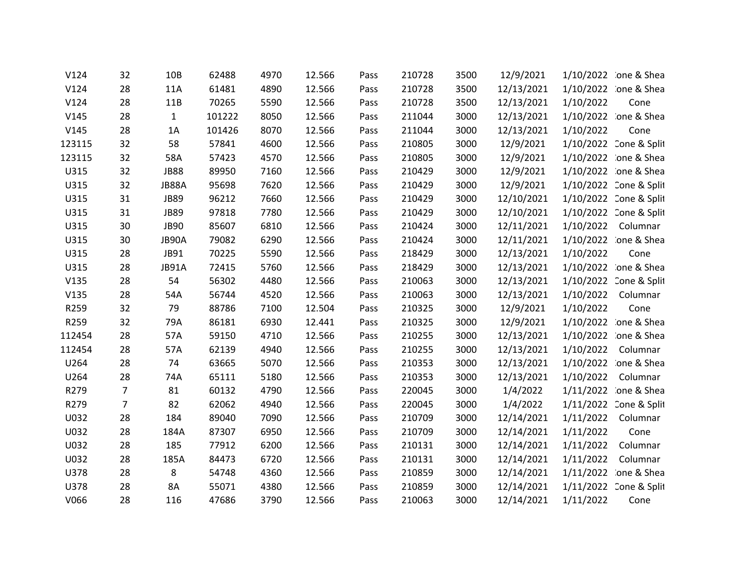| V124   | 32             | 10B         | 62488  | 4970 | 12.566 | Pass | 210728 | 3500 | 12/9/2021  |           | 1/10/2022 one & Shea   |
|--------|----------------|-------------|--------|------|--------|------|--------|------|------------|-----------|------------------------|
| V124   | 28             | 11A         | 61481  | 4890 | 12.566 | Pass | 210728 | 3500 | 12/13/2021 |           | 1/10/2022 one & Shea   |
| V124   | 28             | 11B         | 70265  | 5590 | 12.566 | Pass | 210728 | 3500 | 12/13/2021 | 1/10/2022 | Cone                   |
| V145   | 28             | 1           | 101222 | 8050 | 12.566 | Pass | 211044 | 3000 | 12/13/2021 |           | 1/10/2022 one & Shea   |
| V145   | 28             | 1A          | 101426 | 8070 | 12.566 | Pass | 211044 | 3000 | 12/13/2021 | 1/10/2022 | Cone                   |
| 123115 | 32             | 58          | 57841  | 4600 | 12.566 | Pass | 210805 | 3000 | 12/9/2021  |           | 1/10/2022 Cone & Split |
| 123115 | 32             | 58A         | 57423  | 4570 | 12.566 | Pass | 210805 | 3000 | 12/9/2021  |           | 1/10/2022 .one & Shea  |
| U315   | 32             | <b>JB88</b> | 89950  | 7160 | 12.566 | Pass | 210429 | 3000 | 12/9/2021  |           | 1/10/2022  one & Shea  |
| U315   | 32             | JB88A       | 95698  | 7620 | 12.566 | Pass | 210429 | 3000 | 12/9/2021  |           | 1/10/2022 Cone & Split |
| U315   | 31             | <b>JB89</b> | 96212  | 7660 | 12.566 | Pass | 210429 | 3000 | 12/10/2021 |           | 1/10/2022 Cone & Split |
| U315   | 31             | <b>JB89</b> | 97818  | 7780 | 12.566 | Pass | 210429 | 3000 | 12/10/2021 |           | 1/10/2022 Cone & Split |
| U315   | 30             | <b>JB90</b> | 85607  | 6810 | 12.566 | Pass | 210424 | 3000 | 12/11/2021 | 1/10/2022 | Columnar               |
| U315   | 30             | JB90A       | 79082  | 6290 | 12.566 | Pass | 210424 | 3000 | 12/11/2021 |           | 1/10/2022 one & Shea   |
| U315   | 28             | JB91        | 70225  | 5590 | 12.566 | Pass | 218429 | 3000 | 12/13/2021 | 1/10/2022 | Cone                   |
| U315   | 28             | JB91A       | 72415  | 5760 | 12.566 | Pass | 218429 | 3000 | 12/13/2021 |           | 1/10/2022 one & Shea   |
| V135   | 28             | 54          | 56302  | 4480 | 12.566 | Pass | 210063 | 3000 | 12/13/2021 |           | 1/10/2022 Cone & Split |
| V135   | 28             | 54A         | 56744  | 4520 | 12.566 | Pass | 210063 | 3000 | 12/13/2021 | 1/10/2022 | Columnar               |
| R259   | 32             | 79          | 88786  | 7100 | 12.504 | Pass | 210325 | 3000 | 12/9/2021  | 1/10/2022 | Cone                   |
| R259   | 32             | 79A         | 86181  | 6930 | 12.441 | Pass | 210325 | 3000 | 12/9/2021  |           | 1/10/2022 one & Shea   |
| 112454 | 28             | 57A         | 59150  | 4710 | 12.566 | Pass | 210255 | 3000 | 12/13/2021 |           | 1/10/2022 one & Shea   |
| 112454 | 28             | 57A         | 62139  | 4940 | 12.566 | Pass | 210255 | 3000 | 12/13/2021 | 1/10/2022 | Columnar               |
| U264   | 28             | 74          | 63665  | 5070 | 12.566 | Pass | 210353 | 3000 | 12/13/2021 |           | 1/10/2022 one & Shea   |
| U264   | 28             | 74A         | 65111  | 5180 | 12.566 | Pass | 210353 | 3000 | 12/13/2021 | 1/10/2022 | Columnar               |
| R279   | $\overline{7}$ | 81          | 60132  | 4790 | 12.566 | Pass | 220045 | 3000 | 1/4/2022   |           | 1/11/2022 one & Shea   |
| R279   | $\overline{7}$ | 82          | 62062  | 4940 | 12.566 | Pass | 220045 | 3000 | 1/4/2022   |           | 1/11/2022 Cone & Split |
| U032   | 28             | 184         | 89040  | 7090 | 12.566 | Pass | 210709 | 3000 | 12/14/2021 | 1/11/2022 | Columnar               |
| U032   | 28             | 184A        | 87307  | 6950 | 12.566 | Pass | 210709 | 3000 | 12/14/2021 | 1/11/2022 | Cone                   |
| U032   | 28             | 185         | 77912  | 6200 | 12.566 | Pass | 210131 | 3000 | 12/14/2021 | 1/11/2022 | Columnar               |
| U032   | 28             | 185A        | 84473  | 6720 | 12.566 | Pass | 210131 | 3000 | 12/14/2021 | 1/11/2022 | Columnar               |
| U378   | 28             | 8           | 54748  | 4360 | 12.566 | Pass | 210859 | 3000 | 12/14/2021 | 1/11/2022 | ione & Shea            |
| U378   | 28             | 8A          | 55071  | 4380 | 12.566 | Pass | 210859 | 3000 | 12/14/2021 |           | 1/11/2022 Cone & Split |
| V066   | 28             | 116         | 47686  | 3790 | 12.566 | Pass | 210063 | 3000 | 12/14/2021 | 1/11/2022 | Cone                   |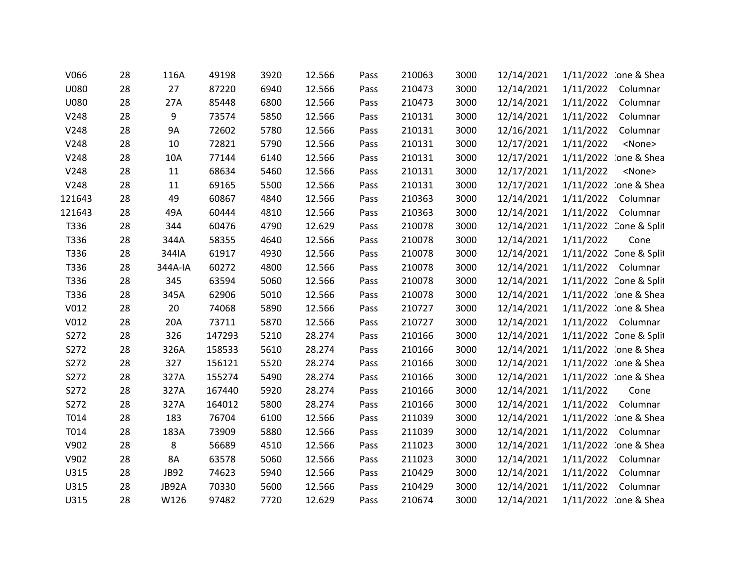| V066   | 28 | 116A        | 49198  | 3920 | 12.566 | Pass | 210063 | 3000 | 12/14/2021 |           | 1/11/2022 one & Shea   |
|--------|----|-------------|--------|------|--------|------|--------|------|------------|-----------|------------------------|
| U080   | 28 | 27          | 87220  | 6940 | 12.566 | Pass | 210473 | 3000 | 12/14/2021 | 1/11/2022 | Columnar               |
| U080   | 28 | 27A         | 85448  | 6800 | 12.566 | Pass | 210473 | 3000 | 12/14/2021 | 1/11/2022 | Columnar               |
| V248   | 28 | 9           | 73574  | 5850 | 12.566 | Pass | 210131 | 3000 | 12/14/2021 | 1/11/2022 | Columnar               |
| V248   | 28 | <b>9A</b>   | 72602  | 5780 | 12.566 | Pass | 210131 | 3000 | 12/16/2021 | 1/11/2022 | Columnar               |
| V248   | 28 | 10          | 72821  | 5790 | 12.566 | Pass | 210131 | 3000 | 12/17/2021 | 1/11/2022 | <none></none>          |
| V248   | 28 | 10A         | 77144  | 6140 | 12.566 | Pass | 210131 | 3000 | 12/17/2021 |           | 1/11/2022 one & Shea   |
| V248   | 28 | 11          | 68634  | 5460 | 12.566 | Pass | 210131 | 3000 | 12/17/2021 | 1/11/2022 | <none></none>          |
| V248   | 28 | $11\,$      | 69165  | 5500 | 12.566 | Pass | 210131 | 3000 | 12/17/2021 |           | 1/11/2022 one & Shea   |
| 121643 | 28 | 49          | 60867  | 4840 | 12.566 | Pass | 210363 | 3000 | 12/14/2021 | 1/11/2022 | Columnar               |
| 121643 | 28 | 49A         | 60444  | 4810 | 12.566 | Pass | 210363 | 3000 | 12/14/2021 | 1/11/2022 | Columnar               |
| T336   | 28 | 344         | 60476  | 4790 | 12.629 | Pass | 210078 | 3000 | 12/14/2021 |           | 1/11/2022 Cone & Split |
| T336   | 28 | 344A        | 58355  | 4640 | 12.566 | Pass | 210078 | 3000 | 12/14/2021 | 1/11/2022 | Cone                   |
| T336   | 28 | 344IA       | 61917  | 4930 | 12.566 | Pass | 210078 | 3000 | 12/14/2021 |           | 1/11/2022 Cone & Split |
| T336   | 28 | 344A-IA     | 60272  | 4800 | 12.566 | Pass | 210078 | 3000 | 12/14/2021 | 1/11/2022 | Columnar               |
| T336   | 28 | 345         | 63594  | 5060 | 12.566 | Pass | 210078 | 3000 | 12/14/2021 |           | 1/11/2022 Cone & Split |
| T336   | 28 | 345A        | 62906  | 5010 | 12.566 | Pass | 210078 | 3000 | 12/14/2021 |           | 1/11/2022 one & Shea   |
| V012   | 28 | 20          | 74068  | 5890 | 12.566 | Pass | 210727 | 3000 | 12/14/2021 |           | 1/11/2022 one & Shea   |
| V012   | 28 | 20A         | 73711  | 5870 | 12.566 | Pass | 210727 | 3000 | 12/14/2021 | 1/11/2022 | Columnar               |
| S272   | 28 | 326         | 147293 | 5210 | 28.274 | Pass | 210166 | 3000 | 12/14/2021 |           | 1/11/2022 Cone & Split |
| S272   | 28 | 326A        | 158533 | 5610 | 28.274 | Pass | 210166 | 3000 | 12/14/2021 |           | 1/11/2022 one & Shea   |
| S272   | 28 | 327         | 156121 | 5520 | 28.274 | Pass | 210166 | 3000 | 12/14/2021 |           | 1/11/2022 one & Shea   |
| S272   | 28 | 327A        | 155274 | 5490 | 28.274 | Pass | 210166 | 3000 | 12/14/2021 |           | 1/11/2022 one & Shea   |
| S272   | 28 | 327A        | 167440 | 5920 | 28.274 | Pass | 210166 | 3000 | 12/14/2021 | 1/11/2022 | Cone                   |
| S272   | 28 | 327A        | 164012 | 5800 | 28.274 | Pass | 210166 | 3000 | 12/14/2021 | 1/11/2022 | Columnar               |
| T014   | 28 | 183         | 76704  | 6100 | 12.566 | Pass | 211039 | 3000 | 12/14/2021 |           | 1/11/2022 one & Shea   |
| T014   | 28 | 183A        | 73909  | 5880 | 12.566 | Pass | 211039 | 3000 | 12/14/2021 | 1/11/2022 | Columnar               |
| V902   | 28 | 8           | 56689  | 4510 | 12.566 | Pass | 211023 | 3000 | 12/14/2021 | 1/11/2022 | ione & Shea            |
| V902   | 28 | 8A          | 63578  | 5060 | 12.566 | Pass | 211023 | 3000 | 12/14/2021 | 1/11/2022 | Columnar               |
| U315   | 28 | <b>JB92</b> | 74623  | 5940 | 12.566 | Pass | 210429 | 3000 | 12/14/2021 | 1/11/2022 | Columnar               |
| U315   | 28 | JB92A       | 70330  | 5600 | 12.566 | Pass | 210429 | 3000 | 12/14/2021 | 1/11/2022 | Columnar               |
| U315   | 28 | W126        | 97482  | 7720 | 12.629 | Pass | 210674 | 3000 | 12/14/2021 |           | 1/11/2022  one & Shea  |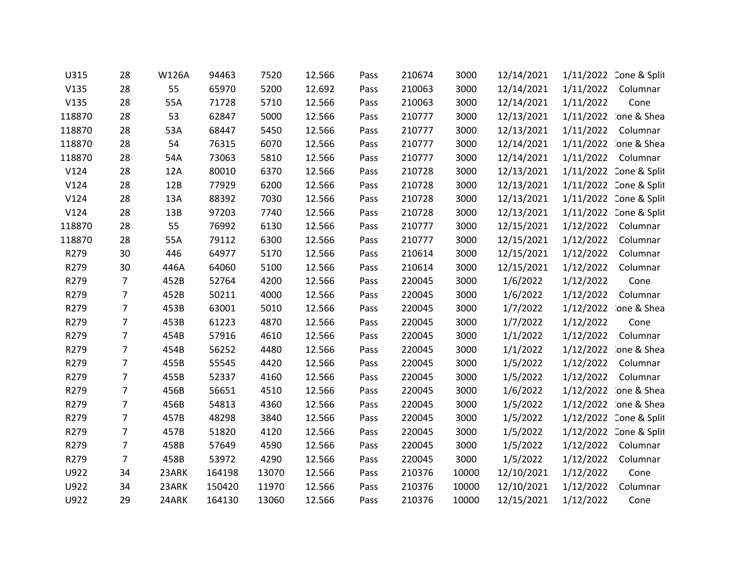| U315   | 28             | <b>W126A</b> | 94463  | 7520  | 12.566 | Pass | 210674 | 3000  | 12/14/2021 |           | 1/11/2022 Cone & Split |
|--------|----------------|--------------|--------|-------|--------|------|--------|-------|------------|-----------|------------------------|
| V135   | 28             | 55           | 65970  | 5200  | 12.692 | Pass | 210063 | 3000  | 12/14/2021 | 1/11/2022 | Columnar               |
| V135   | 28             | 55A          | 71728  | 5710  | 12.566 | Pass | 210063 | 3000  | 12/14/2021 | 1/11/2022 | Cone                   |
| 118870 | 28             | 53           | 62847  | 5000  | 12.566 | Pass | 210777 | 3000  | 12/13/2021 |           | 1/11/2022 one & Shea   |
| 118870 | 28             | 53A          | 68447  | 5450  | 12.566 | Pass | 210777 | 3000  | 12/13/2021 | 1/11/2022 | Columnar               |
| 118870 | 28             | 54           | 76315  | 6070  | 12.566 | Pass | 210777 | 3000  | 12/14/2021 |           | 1/11/2022 one & Shea   |
| 118870 | 28             | 54A          | 73063  | 5810  | 12.566 | Pass | 210777 | 3000  | 12/14/2021 | 1/11/2022 | Columnar               |
| V124   | 28             | 12A          | 80010  | 6370  | 12.566 | Pass | 210728 | 3000  | 12/13/2021 |           | 1/11/2022 Cone & Split |
| V124   | 28             | 12B          | 77929  | 6200  | 12.566 | Pass | 210728 | 3000  | 12/13/2021 |           | 1/11/2022 Cone & Split |
| V124   | 28             | 13A          | 88392  | 7030  | 12.566 | Pass | 210728 | 3000  | 12/13/2021 |           | 1/11/2022 Cone & Split |
| V124   | 28             | 13B          | 97203  | 7740  | 12.566 | Pass | 210728 | 3000  | 12/13/2021 |           | 1/11/2022 Cone & Split |
| 118870 | 28             | 55           | 76992  | 6130  | 12.566 | Pass | 210777 | 3000  | 12/15/2021 | 1/12/2022 | Columnar               |
| 118870 | 28             | 55A          | 79112  | 6300  | 12.566 | Pass | 210777 | 3000  | 12/15/2021 | 1/12/2022 | Columnar               |
| R279   | 30             | 446          | 64977  | 5170  | 12.566 | Pass | 210614 | 3000  | 12/15/2021 | 1/12/2022 | Columnar               |
| R279   | 30             | 446A         | 64060  | 5100  | 12.566 | Pass | 210614 | 3000  | 12/15/2021 | 1/12/2022 | Columnar               |
| R279   | 7              | 452B         | 52764  | 4200  | 12.566 | Pass | 220045 | 3000  | 1/6/2022   | 1/12/2022 | Cone                   |
| R279   | 7              | 452B         | 50211  | 4000  | 12.566 | Pass | 220045 | 3000  | 1/6/2022   | 1/12/2022 | Columnar               |
| R279   | 7              | 453B         | 63001  | 5010  | 12.566 | Pass | 220045 | 3000  | 1/7/2022   |           | 1/12/2022 one & Shea   |
| R279   | 7              | 453B         | 61223  | 4870  | 12.566 | Pass | 220045 | 3000  | 1/7/2022   | 1/12/2022 | Cone                   |
| R279   | 7              | 454B         | 57916  | 4610  | 12.566 | Pass | 220045 | 3000  | 1/1/2022   | 1/12/2022 | Columnar               |
| R279   | 7              | 454B         | 56252  | 4480  | 12.566 | Pass | 220045 | 3000  | 1/1/2022   |           | 1/12/2022 one & Shea   |
| R279   | 7              | 455B         | 55545  | 4420  | 12.566 | Pass | 220045 | 3000  | 1/5/2022   | 1/12/2022 | Columnar               |
| R279   | 7              | 455B         | 52337  | 4160  | 12.566 | Pass | 220045 | 3000  | 1/5/2022   | 1/12/2022 | Columnar               |
| R279   | 7              | 456B         | 56651  | 4510  | 12.566 | Pass | 220045 | 3000  | 1/6/2022   |           | 1/12/2022 one & Shea   |
| R279   | 7              | 456B         | 54813  | 4360  | 12.566 | Pass | 220045 | 3000  | 1/5/2022   |           | 1/12/2022 one & Shea   |
| R279   | 7              | 457B         | 48298  | 3840  | 12.566 | Pass | 220045 | 3000  | 1/5/2022   |           | 1/12/2022 Cone & Split |
| R279   | 7              | 457B         | 51820  | 4120  | 12.566 | Pass | 220045 | 3000  | 1/5/2022   |           | 1/12/2022 Cone & Split |
| R279   | 7              | 458B         | 57649  | 4590  | 12.566 | Pass | 220045 | 3000  | 1/5/2022   | 1/12/2022 | Columnar               |
| R279   | $\overline{7}$ | 458B         | 53972  | 4290  | 12.566 | Pass | 220045 | 3000  | 1/5/2022   | 1/12/2022 | Columnar               |
| U922   | 34             | 23ARK        | 164198 | 13070 | 12.566 | Pass | 210376 | 10000 | 12/10/2021 | 1/12/2022 | Cone                   |
| U922   | 34             | 23ARK        | 150420 | 11970 | 12.566 | Pass | 210376 | 10000 | 12/10/2021 | 1/12/2022 | Columnar               |
| U922   | 29             | 24ARK        | 164130 | 13060 | 12.566 | Pass | 210376 | 10000 | 12/15/2021 | 1/12/2022 | Cone                   |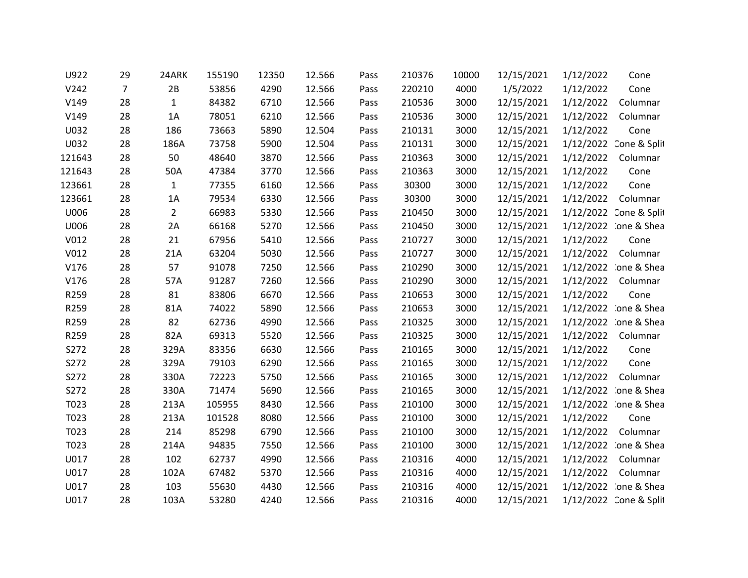| U922             | 29             | 24ARK          | 155190 | 12350 | 12.566 | Pass | 210376 | 10000 | 12/15/2021 | 1/12/2022 | Cone                   |
|------------------|----------------|----------------|--------|-------|--------|------|--------|-------|------------|-----------|------------------------|
| V <sub>242</sub> | $\overline{7}$ | 2B             | 53856  | 4290  | 12.566 | Pass | 220210 | 4000  | 1/5/2022   | 1/12/2022 | Cone                   |
| V149             | 28             | $\mathbf{1}$   | 84382  | 6710  | 12.566 | Pass | 210536 | 3000  | 12/15/2021 | 1/12/2022 | Columnar               |
| V149             | 28             | 1A             | 78051  | 6210  | 12.566 | Pass | 210536 | 3000  | 12/15/2021 | 1/12/2022 | Columnar               |
| U032             | 28             | 186            | 73663  | 5890  | 12.504 | Pass | 210131 | 3000  | 12/15/2021 | 1/12/2022 | Cone                   |
| U032             | 28             | 186A           | 73758  | 5900  | 12.504 | Pass | 210131 | 3000  | 12/15/2021 | 1/12/2022 | Cone & Split           |
| 121643           | 28             | 50             | 48640  | 3870  | 12.566 | Pass | 210363 | 3000  | 12/15/2021 | 1/12/2022 | Columnar               |
| 121643           | 28             | 50A            | 47384  | 3770  | 12.566 | Pass | 210363 | 3000  | 12/15/2021 | 1/12/2022 | Cone                   |
| 123661           | 28             | $\mathbf{1}$   | 77355  | 6160  | 12.566 | Pass | 30300  | 3000  | 12/15/2021 | 1/12/2022 | Cone                   |
| 123661           | 28             | 1A             | 79534  | 6330  | 12.566 | Pass | 30300  | 3000  | 12/15/2021 | 1/12/2022 | Columnar               |
| U006             | 28             | $\overline{2}$ | 66983  | 5330  | 12.566 | Pass | 210450 | 3000  | 12/15/2021 |           | 1/12/2022 Cone & Split |
| U006             | 28             | 2A             | 66168  | 5270  | 12.566 | Pass | 210450 | 3000  | 12/15/2021 |           | 1/12/2022 one & Shea   |
| V012             | 28             | 21             | 67956  | 5410  | 12.566 | Pass | 210727 | 3000  | 12/15/2021 | 1/12/2022 | Cone                   |
| V012             | 28             | 21A            | 63204  | 5030  | 12.566 | Pass | 210727 | 3000  | 12/15/2021 | 1/12/2022 | Columnar               |
| V176             | 28             | 57             | 91078  | 7250  | 12.566 | Pass | 210290 | 3000  | 12/15/2021 |           | 1/12/2022 one & Shea   |
| V176             | 28             | 57A            | 91287  | 7260  | 12.566 | Pass | 210290 | 3000  | 12/15/2021 | 1/12/2022 | Columnar               |
| R259             | 28             | 81             | 83806  | 6670  | 12.566 | Pass | 210653 | 3000  | 12/15/2021 | 1/12/2022 | Cone                   |
| R259             | 28             | 81A            | 74022  | 5890  | 12.566 | Pass | 210653 | 3000  | 12/15/2021 |           | 1/12/2022  one & Shea  |
| R259             | 28             | 82             | 62736  | 4990  | 12.566 | Pass | 210325 | 3000  | 12/15/2021 |           | 1/12/2022 one & Shea   |
| R259             | 28             | 82A            | 69313  | 5520  | 12.566 | Pass | 210325 | 3000  | 12/15/2021 | 1/12/2022 | Columnar               |
| S272             | 28             | 329A           | 83356  | 6630  | 12.566 | Pass | 210165 | 3000  | 12/15/2021 | 1/12/2022 | Cone                   |
| S272             | 28             | 329A           | 79103  | 6290  | 12.566 | Pass | 210165 | 3000  | 12/15/2021 | 1/12/2022 | Cone                   |
| S272             | 28             | 330A           | 72223  | 5750  | 12.566 | Pass | 210165 | 3000  | 12/15/2021 | 1/12/2022 | Columnar               |
| S272             | 28             | 330A           | 71474  | 5690  | 12.566 | Pass | 210165 | 3000  | 12/15/2021 |           | 1/12/2022 one & Shea   |
| T023             | 28             | 213A           | 105955 | 8430  | 12.566 | Pass | 210100 | 3000  | 12/15/2021 |           | 1/12/2022 one & Shea   |
| T023             | 28             | 213A           | 101528 | 8080  | 12.566 | Pass | 210100 | 3000  | 12/15/2021 | 1/12/2022 | Cone                   |
| T023             | 28             | 214            | 85298  | 6790  | 12.566 | Pass | 210100 | 3000  | 12/15/2021 | 1/12/2022 | Columnar               |
| T023             | 28             | 214A           | 94835  | 7550  | 12.566 | Pass | 210100 | 3000  | 12/15/2021 | 1/12/2022 | ione & Shea            |
| U017             | 28             | 102            | 62737  | 4990  | 12.566 | Pass | 210316 | 4000  | 12/15/2021 | 1/12/2022 | Columnar               |
| U017             | 28             | 102A           | 67482  | 5370  | 12.566 | Pass | 210316 | 4000  | 12/15/2021 | 1/12/2022 | Columnar               |
| U017             | 28             | 103            | 55630  | 4430  | 12.566 | Pass | 210316 | 4000  | 12/15/2021 |           | 1/12/2022 one & Shea   |
| U017             | 28             | 103A           | 53280  | 4240  | 12.566 | Pass | 210316 | 4000  | 12/15/2021 |           | 1/12/2022 Cone & Split |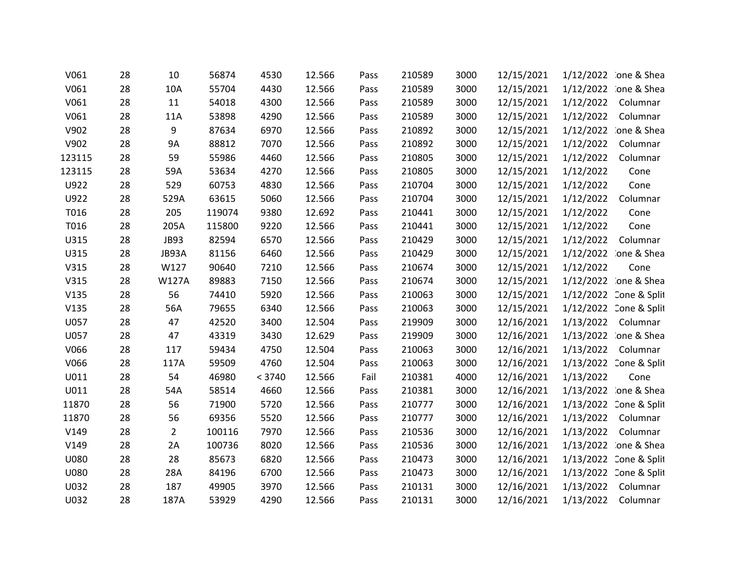| V061   | 28 | 10             | 56874  | 4530   | 12.566 | Pass | 210589 | 3000 | 12/15/2021 |           | 1/12/2022 one & Shea   |
|--------|----|----------------|--------|--------|--------|------|--------|------|------------|-----------|------------------------|
| V061   | 28 | 10A            | 55704  | 4430   | 12.566 | Pass | 210589 | 3000 | 12/15/2021 |           | 1/12/2022 one & Shea   |
| V061   | 28 | 11             | 54018  | 4300   | 12.566 | Pass | 210589 | 3000 | 12/15/2021 | 1/12/2022 | Columnar               |
| V061   | 28 | 11A            | 53898  | 4290   | 12.566 | Pass | 210589 | 3000 | 12/15/2021 | 1/12/2022 | Columnar               |
| V902   | 28 | 9              | 87634  | 6970   | 12.566 | Pass | 210892 | 3000 | 12/15/2021 | 1/12/2022 | ione & Shea            |
| V902   | 28 | <b>9A</b>      | 88812  | 7070   | 12.566 | Pass | 210892 | 3000 | 12/15/2021 | 1/12/2022 | Columnar               |
| 123115 | 28 | 59             | 55986  | 4460   | 12.566 | Pass | 210805 | 3000 | 12/15/2021 | 1/12/2022 | Columnar               |
| 123115 | 28 | 59A            | 53634  | 4270   | 12.566 | Pass | 210805 | 3000 | 12/15/2021 | 1/12/2022 | Cone                   |
| U922   | 28 | 529            | 60753  | 4830   | 12.566 | Pass | 210704 | 3000 | 12/15/2021 | 1/12/2022 | Cone                   |
| U922   | 28 | 529A           | 63615  | 5060   | 12.566 | Pass | 210704 | 3000 | 12/15/2021 | 1/12/2022 | Columnar               |
| T016   | 28 | 205            | 119074 | 9380   | 12.692 | Pass | 210441 | 3000 | 12/15/2021 | 1/12/2022 | Cone                   |
| T016   | 28 | 205A           | 115800 | 9220   | 12.566 | Pass | 210441 | 3000 | 12/15/2021 | 1/12/2022 | Cone                   |
| U315   | 28 | <b>JB93</b>    | 82594  | 6570   | 12.566 | Pass | 210429 | 3000 | 12/15/2021 | 1/12/2022 | Columnar               |
| U315   | 28 | JB93A          | 81156  | 6460   | 12.566 | Pass | 210429 | 3000 | 12/15/2021 |           | 1/12/2022 one & Shea   |
| V315   | 28 | W127           | 90640  | 7210   | 12.566 | Pass | 210674 | 3000 | 12/15/2021 | 1/12/2022 | Cone                   |
| V315   | 28 | <b>W127A</b>   | 89883  | 7150   | 12.566 | Pass | 210674 | 3000 | 12/15/2021 |           | 1/12/2022 one & Shea   |
| V135   | 28 | 56             | 74410  | 5920   | 12.566 | Pass | 210063 | 3000 | 12/15/2021 |           | 1/12/2022 Cone & Split |
| V135   | 28 | 56A            | 79655  | 6340   | 12.566 | Pass | 210063 | 3000 | 12/15/2021 |           | 1/12/2022 Cone & Split |
| U057   | 28 | 47             | 42520  | 3400   | 12.504 | Pass | 219909 | 3000 | 12/16/2021 | 1/13/2022 | Columnar               |
| U057   | 28 | 47             | 43319  | 3430   | 12.629 | Pass | 219909 | 3000 | 12/16/2021 |           | 1/13/2022 one & Shea   |
| V066   | 28 | 117            | 59434  | 4750   | 12.504 | Pass | 210063 | 3000 | 12/16/2021 | 1/13/2022 | Columnar               |
| V066   | 28 | 117A           | 59509  | 4760   | 12.504 | Pass | 210063 | 3000 | 12/16/2021 |           | 1/13/2022 Cone & Split |
| U011   | 28 | 54             | 46980  | < 3740 | 12.566 | Fail | 210381 | 4000 | 12/16/2021 | 1/13/2022 | Cone                   |
| U011   | 28 | 54A            | 58514  | 4660   | 12.566 | Pass | 210381 | 3000 | 12/16/2021 |           | 1/13/2022 one & Shea   |
| 11870  | 28 | 56             | 71900  | 5720   | 12.566 | Pass | 210777 | 3000 | 12/16/2021 |           | 1/13/2022 Cone & Split |
| 11870  | 28 | 56             | 69356  | 5520   | 12.566 | Pass | 210777 | 3000 | 12/16/2021 | 1/13/2022 | Columnar               |
| V149   | 28 | $\overline{2}$ | 100116 | 7970   | 12.566 | Pass | 210536 | 3000 | 12/16/2021 | 1/13/2022 | Columnar               |
| V149   | 28 | 2A             | 100736 | 8020   | 12.566 | Pass | 210536 | 3000 | 12/16/2021 |           | 1/13/2022 one & Shea   |
| U080   | 28 | 28             | 85673  | 6820   | 12.566 | Pass | 210473 | 3000 | 12/16/2021 |           | 1/13/2022 Cone & Split |
| U080   | 28 | 28A            | 84196  | 6700   | 12.566 | Pass | 210473 | 3000 | 12/16/2021 |           | 1/13/2022 Cone & Split |
| U032   | 28 | 187            | 49905  | 3970   | 12.566 | Pass | 210131 | 3000 | 12/16/2021 | 1/13/2022 | Columnar               |
| U032   | 28 | 187A           | 53929  | 4290   | 12.566 | Pass | 210131 | 3000 | 12/16/2021 | 1/13/2022 | Columnar               |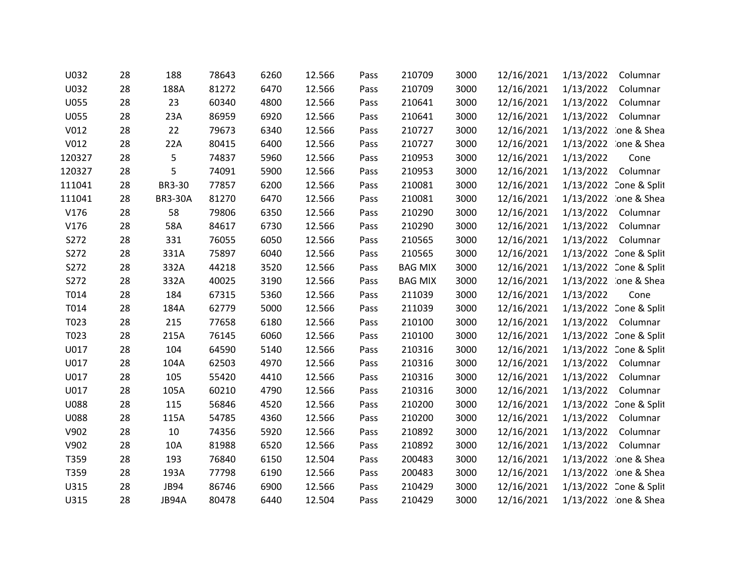| U032             | 28 | 188            | 78643 | 6260 | 12.566 | Pass | 210709         | 3000 | 12/16/2021 | 1/13/2022 | Columnar               |
|------------------|----|----------------|-------|------|--------|------|----------------|------|------------|-----------|------------------------|
| U032             | 28 | 188A           | 81272 | 6470 | 12.566 | Pass | 210709         | 3000 | 12/16/2021 | 1/13/2022 | Columnar               |
| U055             | 28 | 23             | 60340 | 4800 | 12.566 | Pass | 210641         | 3000 | 12/16/2021 | 1/13/2022 | Columnar               |
| U055             | 28 | 23A            | 86959 | 6920 | 12.566 | Pass | 210641         | 3000 | 12/16/2021 | 1/13/2022 | Columnar               |
| V012             | 28 | 22             | 79673 | 6340 | 12.566 | Pass | 210727         | 3000 | 12/16/2021 | 1/13/2022 | ione & Shea            |
| V <sub>012</sub> | 28 | 22A            | 80415 | 6400 | 12.566 | Pass | 210727         | 3000 | 12/16/2021 |           | 1/13/2022 one & Shea   |
| 120327           | 28 | 5              | 74837 | 5960 | 12.566 | Pass | 210953         | 3000 | 12/16/2021 | 1/13/2022 | Cone                   |
| 120327           | 28 | 5              | 74091 | 5900 | 12.566 | Pass | 210953         | 3000 | 12/16/2021 | 1/13/2022 | Columnar               |
| 111041           | 28 | BR3-30         | 77857 | 6200 | 12.566 | Pass | 210081         | 3000 | 12/16/2021 |           | 1/13/2022 Cone & Split |
| 111041           | 28 | <b>BR3-30A</b> | 81270 | 6470 | 12.566 | Pass | 210081         | 3000 | 12/16/2021 |           | 1/13/2022 one & Shea   |
| V176             | 28 | 58             | 79806 | 6350 | 12.566 | Pass | 210290         | 3000 | 12/16/2021 | 1/13/2022 | Columnar               |
| V176             | 28 | 58A            | 84617 | 6730 | 12.566 | Pass | 210290         | 3000 | 12/16/2021 | 1/13/2022 | Columnar               |
| S272             | 28 | 331            | 76055 | 6050 | 12.566 | Pass | 210565         | 3000 | 12/16/2021 | 1/13/2022 | Columnar               |
| S272             | 28 | 331A           | 75897 | 6040 | 12.566 | Pass | 210565         | 3000 | 12/16/2021 |           | 1/13/2022 Cone & Split |
| S272             | 28 | 332A           | 44218 | 3520 | 12.566 | Pass | <b>BAG MIX</b> | 3000 | 12/16/2021 |           | 1/13/2022 Cone & Split |
| S272             | 28 | 332A           | 40025 | 3190 | 12.566 | Pass | <b>BAG MIX</b> | 3000 | 12/16/2021 |           | 1/13/2022 one & Shea   |
| T014             | 28 | 184            | 67315 | 5360 | 12.566 | Pass | 211039         | 3000 | 12/16/2021 | 1/13/2022 | Cone                   |
| T014             | 28 | 184A           | 62779 | 5000 | 12.566 | Pass | 211039         | 3000 | 12/16/2021 |           | 1/13/2022 Cone & Split |
| T023             | 28 | 215            | 77658 | 6180 | 12.566 | Pass | 210100         | 3000 | 12/16/2021 | 1/13/2022 | Columnar               |
| T023             | 28 | 215A           | 76145 | 6060 | 12.566 | Pass | 210100         | 3000 | 12/16/2021 |           | 1/13/2022 Cone & Split |
| U017             | 28 | 104            | 64590 | 5140 | 12.566 | Pass | 210316         | 3000 | 12/16/2021 |           | 1/13/2022 Cone & Split |
| U017             | 28 | 104A           | 62503 | 4970 | 12.566 | Pass | 210316         | 3000 | 12/16/2021 | 1/13/2022 | Columnar               |
| U017             | 28 | 105            | 55420 | 4410 | 12.566 | Pass | 210316         | 3000 | 12/16/2021 | 1/13/2022 | Columnar               |
| U017             | 28 | 105A           | 60210 | 4790 | 12.566 | Pass | 210316         | 3000 | 12/16/2021 | 1/13/2022 | Columnar               |
| <b>U088</b>      | 28 | 115            | 56846 | 4520 | 12.566 | Pass | 210200         | 3000 | 12/16/2021 | 1/13/2022 | Cone & Split           |
| <b>U088</b>      | 28 | 115A           | 54785 | 4360 | 12.566 | Pass | 210200         | 3000 | 12/16/2021 | 1/13/2022 | Columnar               |
| V902             | 28 | 10             | 74356 | 5920 | 12.566 | Pass | 210892         | 3000 | 12/16/2021 | 1/13/2022 | Columnar               |
| V902             | 28 | 10A            | 81988 | 6520 | 12.566 | Pass | 210892         | 3000 | 12/16/2021 | 1/13/2022 | Columnar               |
| T359             | 28 | 193            | 76840 | 6150 | 12.504 | Pass | 200483         | 3000 | 12/16/2021 |           | 1/13/2022 one & Shea   |
| T359             | 28 | 193A           | 77798 | 6190 | 12.566 | Pass | 200483         | 3000 | 12/16/2021 |           | 1/13/2022 .one & Shea  |
| U315             | 28 | <b>JB94</b>    | 86746 | 6900 | 12.566 | Pass | 210429         | 3000 | 12/16/2021 |           | 1/13/2022 Cone & Split |
| U315             | 28 | JB94A          | 80478 | 6440 | 12.504 | Pass | 210429         | 3000 | 12/16/2021 |           | 1/13/2022 one & Shea   |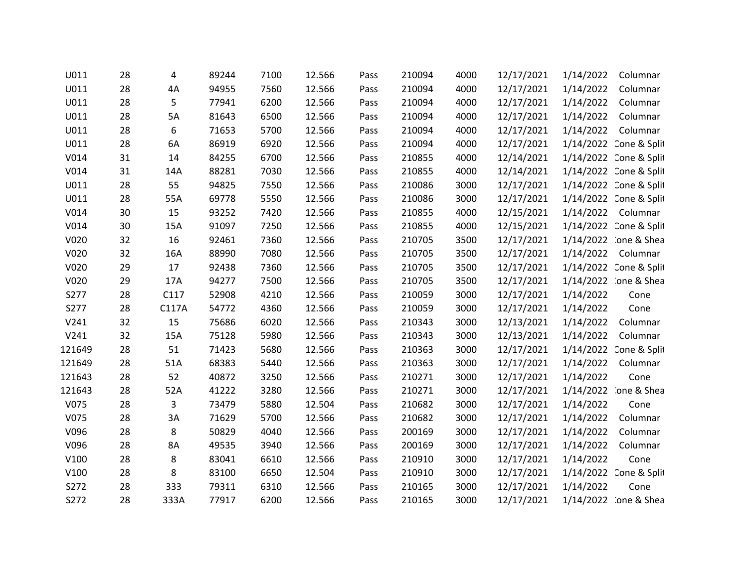| U011   | 28 | 4     | 89244 | 7100 | 12.566 | Pass | 210094 | 4000 | 12/17/2021 | 1/14/2022 | Columnar               |
|--------|----|-------|-------|------|--------|------|--------|------|------------|-----------|------------------------|
| U011   | 28 | 4A    | 94955 | 7560 | 12.566 | Pass | 210094 | 4000 | 12/17/2021 | 1/14/2022 | Columnar               |
| U011   | 28 | 5     | 77941 | 6200 | 12.566 | Pass | 210094 | 4000 | 12/17/2021 | 1/14/2022 | Columnar               |
| U011   | 28 | 5A    | 81643 | 6500 | 12.566 | Pass | 210094 | 4000 | 12/17/2021 | 1/14/2022 | Columnar               |
| U011   | 28 | 6     | 71653 | 5700 | 12.566 | Pass | 210094 | 4000 | 12/17/2021 | 1/14/2022 | Columnar               |
| U011   | 28 | 6A    | 86919 | 6920 | 12.566 | Pass | 210094 | 4000 | 12/17/2021 |           | 1/14/2022 Cone & Split |
| V014   | 31 | 14    | 84255 | 6700 | 12.566 | Pass | 210855 | 4000 | 12/14/2021 |           | 1/14/2022 Cone & Split |
| V014   | 31 | 14A   | 88281 | 7030 | 12.566 | Pass | 210855 | 4000 | 12/14/2021 |           | 1/14/2022 Cone & Split |
| U011   | 28 | 55    | 94825 | 7550 | 12.566 | Pass | 210086 | 3000 | 12/17/2021 |           | 1/14/2022 Cone & Split |
| U011   | 28 | 55A   | 69778 | 5550 | 12.566 | Pass | 210086 | 3000 | 12/17/2021 |           | 1/14/2022 Cone & Split |
| V014   | 30 | 15    | 93252 | 7420 | 12.566 | Pass | 210855 | 4000 | 12/15/2021 | 1/14/2022 | Columnar               |
| V014   | 30 | 15A   | 91097 | 7250 | 12.566 | Pass | 210855 | 4000 | 12/15/2021 |           | 1/14/2022 Cone & Split |
| V020   | 32 | 16    | 92461 | 7360 | 12.566 | Pass | 210705 | 3500 | 12/17/2021 |           | 1/14/2022 one & Shea   |
| V020   | 32 | 16A   | 88990 | 7080 | 12.566 | Pass | 210705 | 3500 | 12/17/2021 | 1/14/2022 | Columnar               |
| V020   | 29 | 17    | 92438 | 7360 | 12.566 | Pass | 210705 | 3500 | 12/17/2021 |           | 1/14/2022 Cone & Split |
| V020   | 29 | 17A   | 94277 | 7500 | 12.566 | Pass | 210705 | 3500 | 12/17/2021 |           | 1/14/2022 one & Shea   |
| S277   | 28 | C117  | 52908 | 4210 | 12.566 | Pass | 210059 | 3000 | 12/17/2021 | 1/14/2022 | Cone                   |
| S277   | 28 | C117A | 54772 | 4360 | 12.566 | Pass | 210059 | 3000 | 12/17/2021 | 1/14/2022 | Cone                   |
| V241   | 32 | 15    | 75686 | 6020 | 12.566 | Pass | 210343 | 3000 | 12/13/2021 | 1/14/2022 | Columnar               |
| V241   | 32 | 15A   | 75128 | 5980 | 12.566 | Pass | 210343 | 3000 | 12/13/2021 | 1/14/2022 | Columnar               |
| 121649 | 28 | 51    | 71423 | 5680 | 12.566 | Pass | 210363 | 3000 | 12/17/2021 | 1/14/2022 | Cone & Split           |
| 121649 | 28 | 51A   | 68383 | 5440 | 12.566 | Pass | 210363 | 3000 | 12/17/2021 | 1/14/2022 | Columnar               |
| 121643 | 28 | 52    | 40872 | 3250 | 12.566 | Pass | 210271 | 3000 | 12/17/2021 | 1/14/2022 | Cone                   |
| 121643 | 28 | 52A   | 41222 | 3280 | 12.566 | Pass | 210271 | 3000 | 12/17/2021 |           | 1/14/2022 one & Shea   |
| V075   | 28 | 3     | 73479 | 5880 | 12.504 | Pass | 210682 | 3000 | 12/17/2021 | 1/14/2022 | Cone                   |
| V075   | 28 | 3A    | 71629 | 5700 | 12.566 | Pass | 210682 | 3000 | 12/17/2021 | 1/14/2022 | Columnar               |
| V096   | 28 | 8     | 50829 | 4040 | 12.566 | Pass | 200169 | 3000 | 12/17/2021 | 1/14/2022 | Columnar               |
| V096   | 28 | 8A    | 49535 | 3940 | 12.566 | Pass | 200169 | 3000 | 12/17/2021 | 1/14/2022 | Columnar               |
| V100   | 28 | 8     | 83041 | 6610 | 12.566 | Pass | 210910 | 3000 | 12/17/2021 | 1/14/2022 | Cone                   |
| V100   | 28 | 8     | 83100 | 6650 | 12.504 | Pass | 210910 | 3000 | 12/17/2021 |           | 1/14/2022 Cone & Split |
| S272   | 28 | 333   | 79311 | 6310 | 12.566 | Pass | 210165 | 3000 | 12/17/2021 | 1/14/2022 | Cone                   |
| S272   | 28 | 333A  | 77917 | 6200 | 12.566 | Pass | 210165 | 3000 | 12/17/2021 |           | 1/14/2022 .one & Shea  |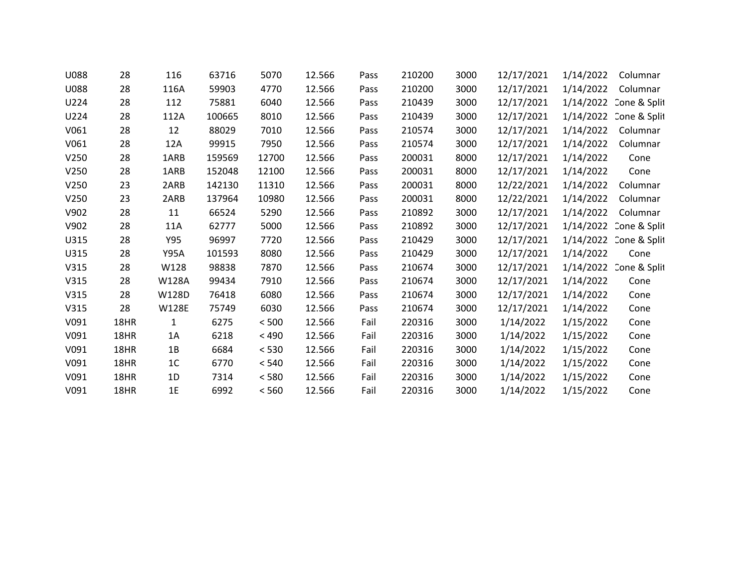| <b>U088</b>      | 28   | 116            | 63716  | 5070  | 12.566 | Pass | 210200 | 3000 | 12/17/2021 | 1/14/2022 | Columnar     |
|------------------|------|----------------|--------|-------|--------|------|--------|------|------------|-----------|--------------|
| <b>U088</b>      | 28   | 116A           | 59903  | 4770  | 12.566 | Pass | 210200 | 3000 | 12/17/2021 | 1/14/2022 | Columnar     |
| U224             | 28   | 112            | 75881  | 6040  | 12.566 | Pass | 210439 | 3000 | 12/17/2021 | 1/14/2022 | Cone & Split |
| U224             | 28   | 112A           | 100665 | 8010  | 12.566 | Pass | 210439 | 3000 | 12/17/2021 | 1/14/2022 | Cone & Split |
| V061             | 28   | 12             | 88029  | 7010  | 12.566 | Pass | 210574 | 3000 | 12/17/2021 | 1/14/2022 | Columnar     |
| V061             | 28   | 12A            | 99915  | 7950  | 12.566 | Pass | 210574 | 3000 | 12/17/2021 | 1/14/2022 | Columnar     |
| V250             | 28   | 1ARB           | 159569 | 12700 | 12.566 | Pass | 200031 | 8000 | 12/17/2021 | 1/14/2022 | Cone         |
| V <sub>250</sub> | 28   | 1ARB           | 152048 | 12100 | 12.566 | Pass | 200031 | 8000 | 12/17/2021 | 1/14/2022 | Cone         |
| V250             | 23   | 2ARB           | 142130 | 11310 | 12.566 | Pass | 200031 | 8000 | 12/22/2021 | 1/14/2022 | Columnar     |
| V250             | 23   | 2ARB           | 137964 | 10980 | 12.566 | Pass | 200031 | 8000 | 12/22/2021 | 1/14/2022 | Columnar     |
| V902             | 28   | 11             | 66524  | 5290  | 12.566 | Pass | 210892 | 3000 | 12/17/2021 | 1/14/2022 | Columnar     |
| V902             | 28   | 11A            | 62777  | 5000  | 12.566 | Pass | 210892 | 3000 | 12/17/2021 | 1/14/2022 | Cone & Split |
| U315             | 28   | <b>Y95</b>     | 96997  | 7720  | 12.566 | Pass | 210429 | 3000 | 12/17/2021 | 1/14/2022 | Cone & Split |
| U315             | 28   | <b>Y95A</b>    | 101593 | 8080  | 12.566 | Pass | 210429 | 3000 | 12/17/2021 | 1/14/2022 | Cone         |
| V315             | 28   | W128           | 98838  | 7870  | 12.566 | Pass | 210674 | 3000 | 12/17/2021 | 1/14/2022 | Cone & Split |
| V315             | 28   | W128A          | 99434  | 7910  | 12.566 | Pass | 210674 | 3000 | 12/17/2021 | 1/14/2022 | Cone         |
| V315             | 28   | W128D          | 76418  | 6080  | 12.566 | Pass | 210674 | 3000 | 12/17/2021 | 1/14/2022 | Cone         |
| V315             | 28   | <b>W128E</b>   | 75749  | 6030  | 12.566 | Pass | 210674 | 3000 | 12/17/2021 | 1/14/2022 | Cone         |
| V091             | 18HR | 1              | 6275   | < 500 | 12.566 | Fail | 220316 | 3000 | 1/14/2022  | 1/15/2022 | Cone         |
| V091             | 18HR | 1A             | 6218   | < 490 | 12.566 | Fail | 220316 | 3000 | 1/14/2022  | 1/15/2022 | Cone         |
| V091             | 18HR | 1B             | 6684   | < 530 | 12.566 | Fail | 220316 | 3000 | 1/14/2022  | 1/15/2022 | Cone         |
| V091             | 18HR | 1 <sup>C</sup> | 6770   | < 540 | 12.566 | Fail | 220316 | 3000 | 1/14/2022  | 1/15/2022 | Cone         |
| V091             | 18HR | 1D             | 7314   | < 580 | 12.566 | Fail | 220316 | 3000 | 1/14/2022  | 1/15/2022 | Cone         |
| V091             | 18HR | 1E             | 6992   | < 560 | 12.566 | Fail | 220316 | 3000 | 1/14/2022  | 1/15/2022 | Cone         |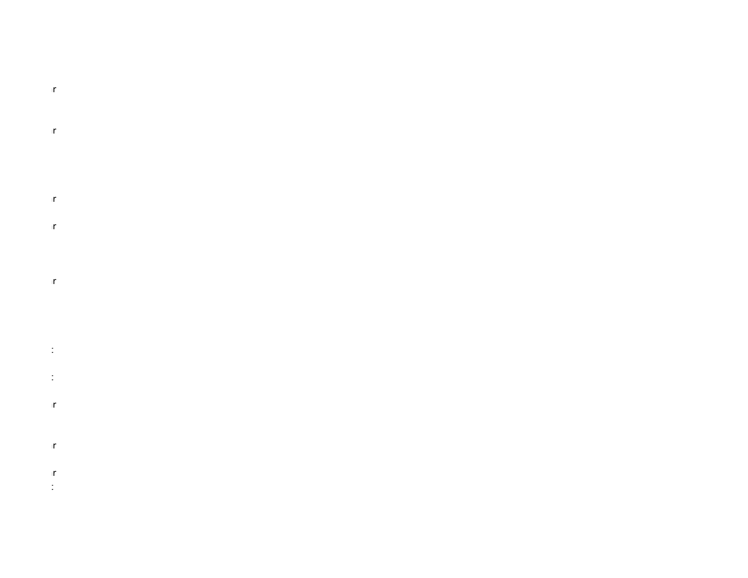- $\mathsf{I}\mathsf{r}$
- $\mathsf{I}\mathsf{r}$ 
	- $\mathsf{I}\mathsf{r}$
	- $\mathsf{I} \mathsf{r}$
	- $\mathsf{I}\mathsf{r}$
	-
	- $\langle t \rangle$
	- $\mathbf t$
	- $\mathsf{I} \mathsf{r}$
	- $\mathsf{I} \mathsf{r}$
- $\mathsf{I}\mathsf{r}^\top$  $\mathfrak k$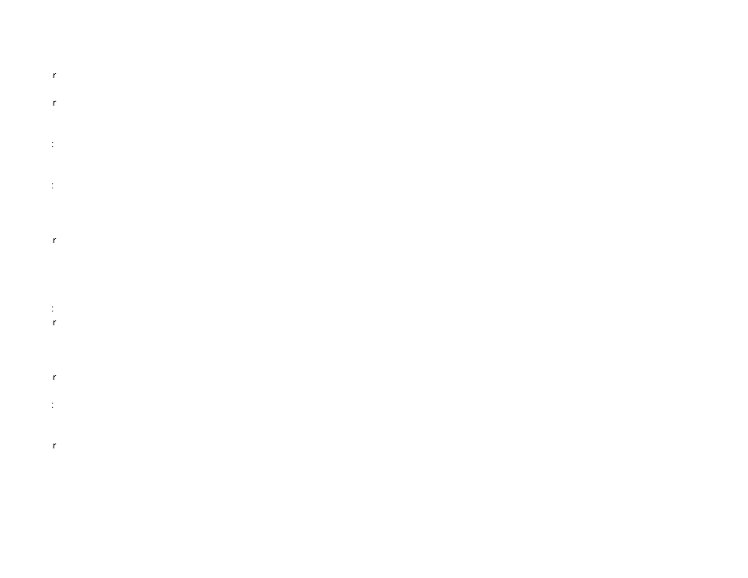- $\mathsf{I}\mathsf{r}^\top$  $\mathsf{I} \mathsf{r}$
- $\mathfrak{b}$ 
	-
- $\mathbb{C}^{\mathbb{C}}$
- $\mathsf{I}\mathsf{r}$
- 
- $\mathfrak{t}^ \mathsf{I} \mathsf{r}$
- 
- $\mathsf{r}$
- $\mathfrak{t}$
- $\mathsf{I} \mathsf{r}$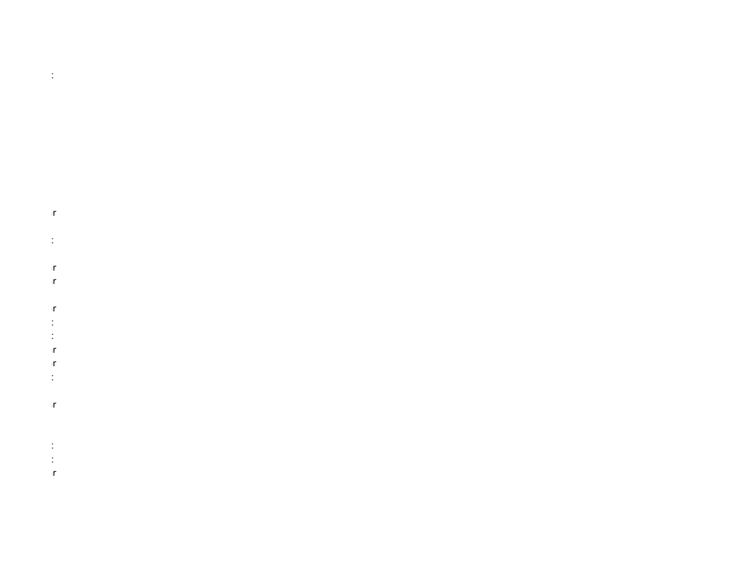$\mathbf t$ 

 $\mathsf{I}\mathsf{r}^\top$  $\mathfrak{t}^-$ 

 $\mathsf{r}$ 

 $\mathsf{I}\mathsf{r}^\top$  $\mathsf{I}^{\mathsf{r}}$ 

 $\mathbb{C}$  $\mathbf{t}$ 

 $\mathsf{I}$ r  $\mathsf{I}^\mathsf{r}$ 

 $\mathfrak{t}^+$ 

 $\langle \mathbf{r} \rangle$ 

 $\,$  t  $\,$  $\mathbf{t}$ 

 $\mathsf{I} \mathsf{r}$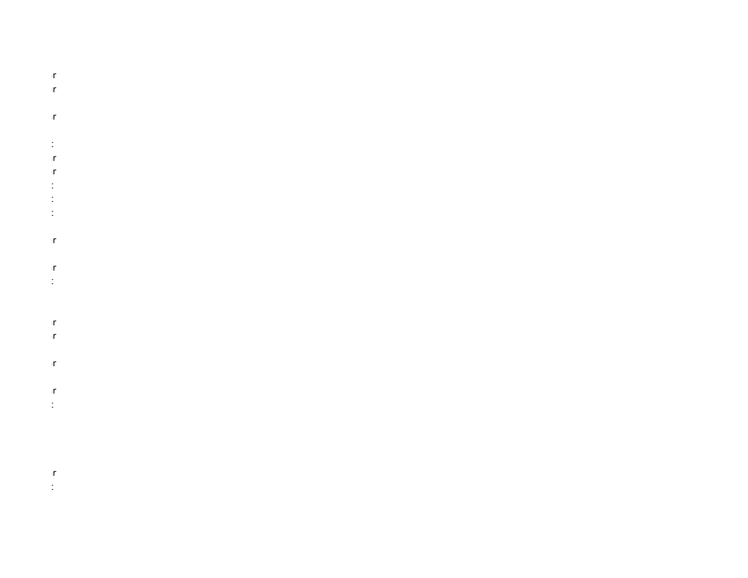- 
- $\mathsf{I}^\mathsf{r}$
- $\mathsf{I}\mathsf{r}^\top$
- $\mathsf{I}^{\mathsf{r}}$
- $\mathfrak{t}^-$
- $\mathsf{r}$
- $\mathsf{I}\mathsf{r}$
- $\mathfrak{t}$  $\mathfrak{t}$
- $\mathfrak{t}^-$
- $\mathsf{I}\mathsf{r}^\top$
- 
- $\mathsf{I}^{\mathsf{r}}$  $\mathbf t$
- 
- $\mathsf{I} \mathsf{r}$
- $\mathsf{I}\mathsf{r}^\top$
- $\mathsf{I}\mathsf{r}^\top$
- $\mathbb{E}$  $\mathbf{t}$
- 
- $\langle \mathbf{r} \rangle$
- $\mathfrak{t}^+$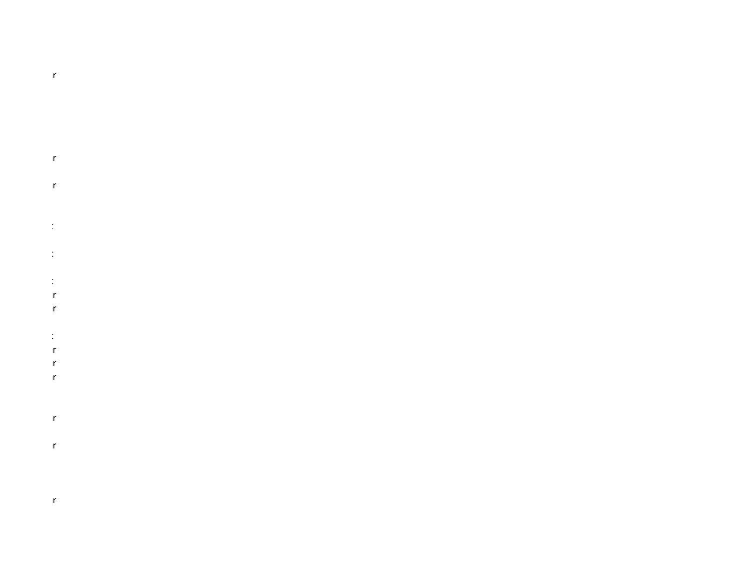$\mathsf{I}\mathsf{r}^\top$ 

 $\mathsf{I}^{\mathsf{r}}$ 

 $\mathbb{E}^{\mathsf{L}}$ 

 $\mathsf{t}$  $\mathbf{t}$ 

 $\mathbf{t}$  $\mathsf{I}^\mathsf{r}$ 

 $\mathsf{I}\mathsf{r}$  $\mathfrak{t}^+$ 

 $\mathsf{I}^{\mathsf{r}}$  $\mathsf{I} \mathsf{r}$  $\mathsf{I} \mathsf{r}$ 

 $\mathsf{r}$ 

 $\mathbb{E}^{\mathbb{E}}$ 

 $\mathsf{I}\mathsf{r}$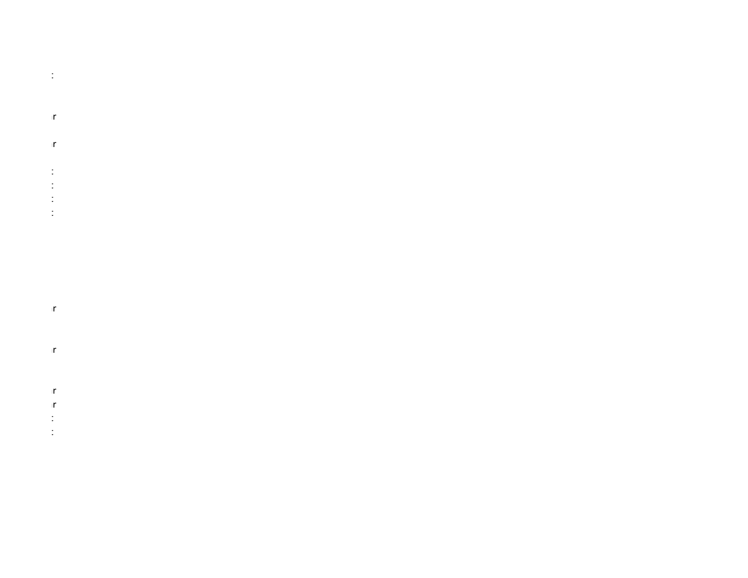- $\langle \mathfrak{k} \rangle$
- $\mathsf{I}\mathsf{r}$
- $\mathsf{r}$
- Cone & Split  $\mathfrak{t}$ 
	- $\mathfrak{t}$

 $\mathbb{I} \mathbf{r}$ 

 $\mathfrak k$ 

Cone & Split

- $\ddagger$ 
	-
- $\mathsf{I} \mathsf{r}$ 
	-
- $\mathsf{I}\mathsf{r}$ 
	-
- $\mathsf{I}\mathsf{r}^-$ 
	-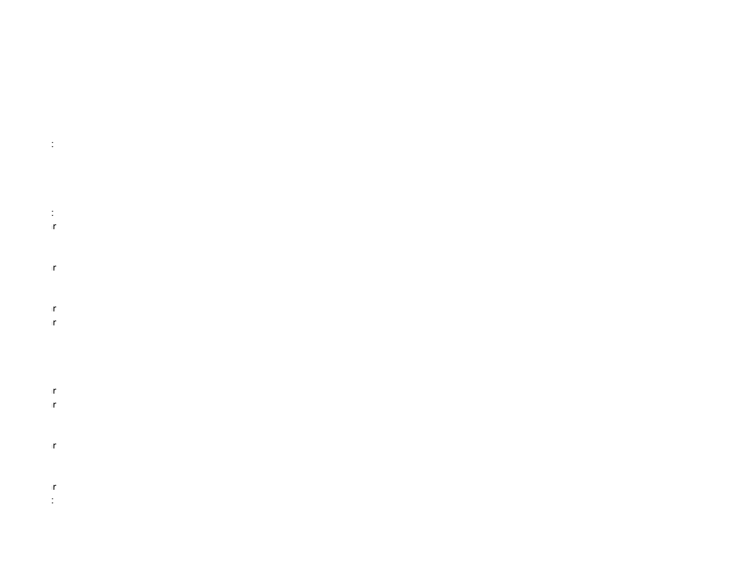- $\mathsf{t}$
- 
- $\mathbf t$  $\mathsf{I} \mathsf{r}$
- $\mathsf{r}$
- $\mathsf{I} \mathsf{r}$
- $\mathbb{E}^{\mathbb{E}}$
- 
- $\mathsf{I}\mathsf{r}$  $\mathop{\text{tr}}$
- $\mathsf{I} \mathsf{r}$
- $\mathsf{I}\mathsf{r}$  $\mathfrak{t}^+$ 
	-
- -
	-
	-
	-
	- - - - -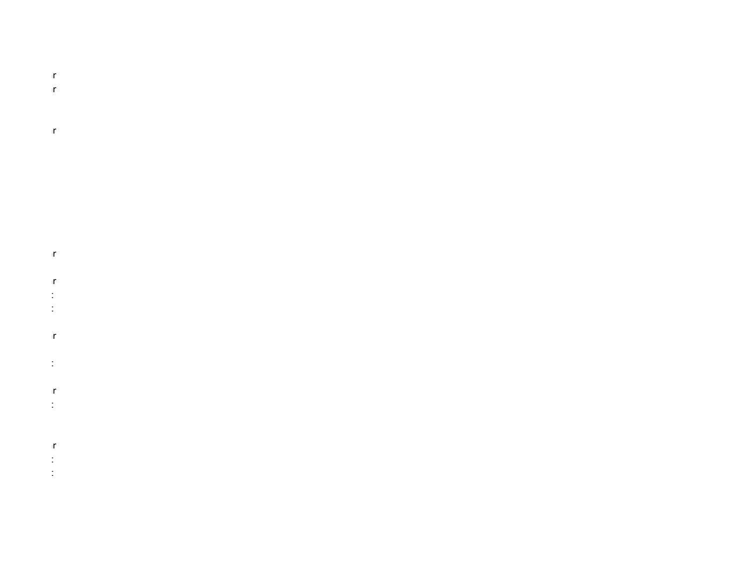- $\mathsf{I} \mathsf{r}$  $\mathsf{I}\mathsf{r}^\top$
- $\mathsf{I}\mathsf{r}$
- -
- 
- $\mathsf{I}$ r
- $\mathsf{I}\mathsf{r}$
- Cone & Split  $\mathfrak{t}^+$  $\mathsf{I} \mathsf{r}$ 
	- $\mathbf{t}$
	- $\mathsf{I}\mathsf{r}$  $\mathbf{t}$
	-
	- $\mathsf{I} \mathsf{r}$
- Cone & Split Cone & Split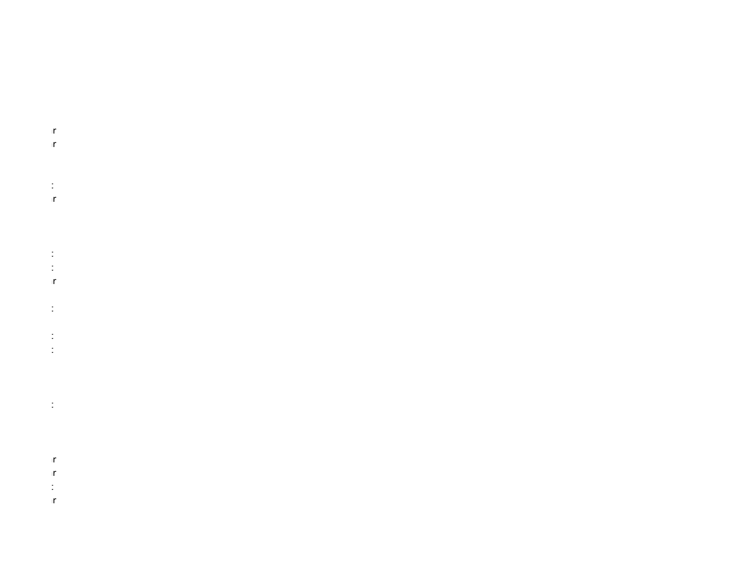- $\mathsf{I}\mathsf{r}$  $\mathsf{r}$ 
	-
- $\mathsf{t}$
- $\mathsf{r}$
- $\mathfrak{b}$
- $\mathbf{t}$
- $\mathsf{I}\mathsf{r}$  $\mathbf{t}$
- $\mathfrak{t}^+$
- $\mathsf{t}^+$
- $\mathbf t$
- 
- $\mathsf{I} \mathsf{r}$  $\mathsf{I} \mathsf{r}$ 
	-

Cone & Split

 $\mathsf{I}\mathsf{r}^\top$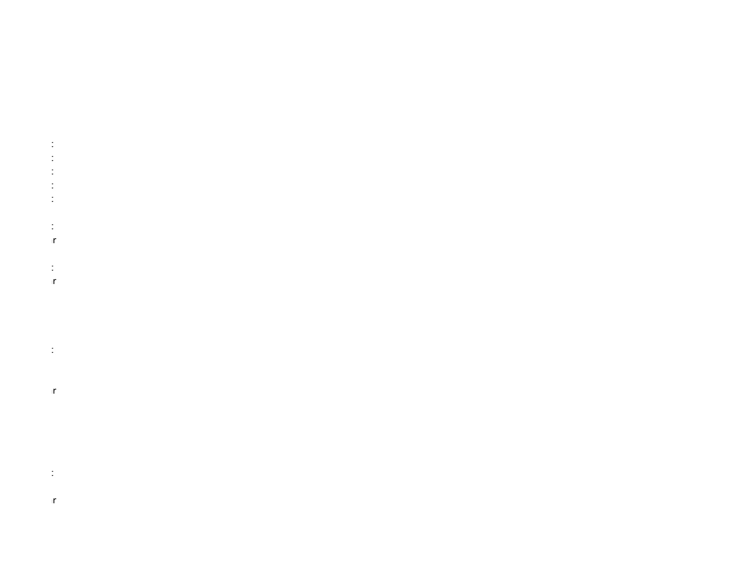- $\langle \mathbf{t} \rangle$  $\mathfrak{t}^+$
- Cone & Split
	- $\mathfrak{t}$  $\mathfrak{t}^-$
	- $\mathfrak{t}^-$
	- $\mathsf{I}\mathsf{r}^\top$
	- $\mathbf{t}$  $\langle \mathbf{r} \rangle$ 
		-
	- $\langle t \rangle$
	- $\mathsf{I}\mathsf{r}$ 
		-
		-

 $\mathfrak{t}^+$ 

 $\mathsf{I}\mathsf{r}$ 

- 
- -
	- -
	-
	- - - -